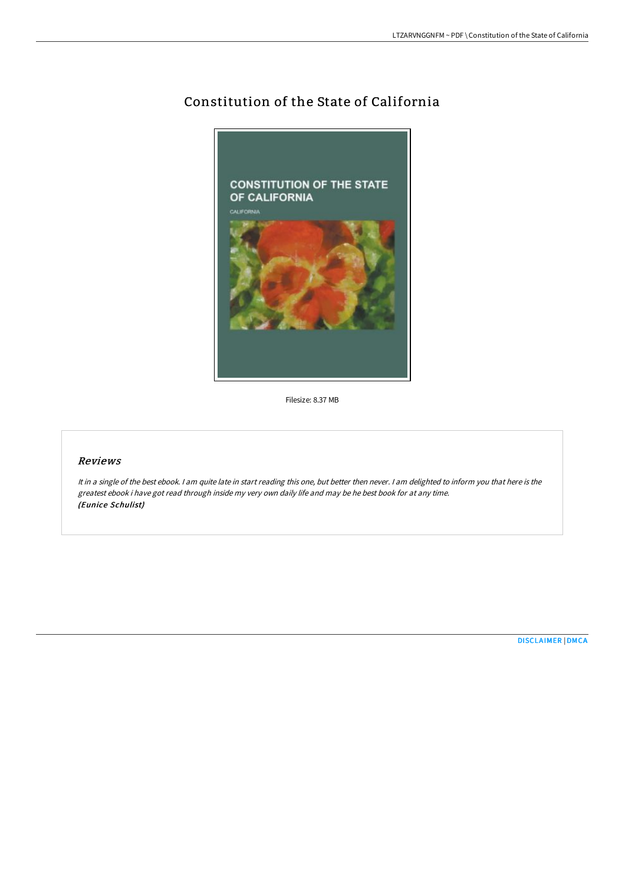# Constitution of the State of California



Filesize: 8.37 MB

## Reviews

It in <sup>a</sup> single of the best ebook. <sup>I</sup> am quite late in start reading this one, but better then never. <sup>I</sup> am delighted to inform you that here is the greatest ebook i have got read through inside my very own daily life and may be he best book for at any time. (Eunice Schulist)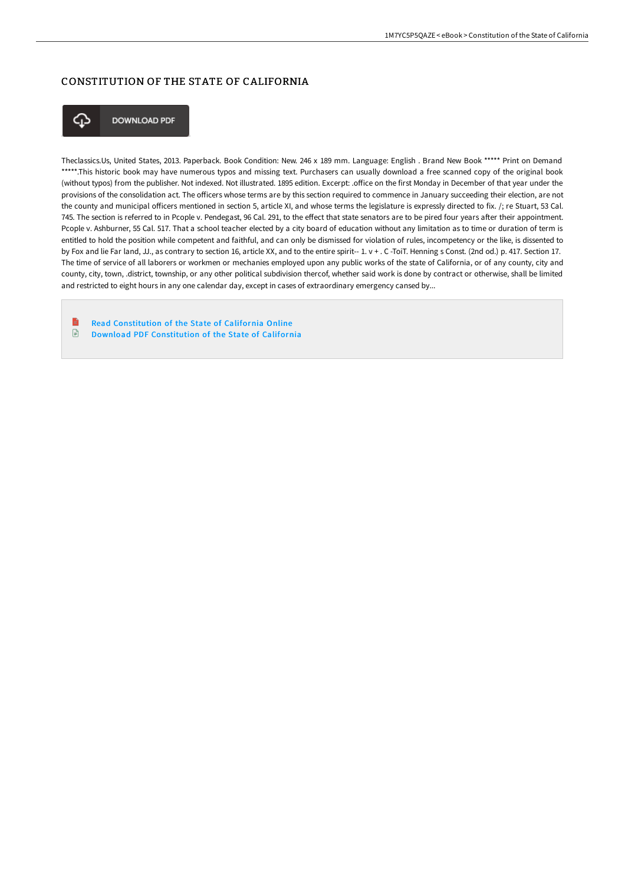## CONSTITUTION OF THE STATE OF CALIFORNIA



**DOWNLOAD PDF** 

Theclassics.Us, United States, 2013. Paperback. Book Condition: New. 246 x 189 mm. Language: English . Brand New Book \*\*\*\*\* Print on Demand \*\*\*\*\*.This historic book may have numerous typos and missing text. Purchasers can usually download a free scanned copy of the original book (without typos) from the publisher. Not indexed. Not illustrated. 1895 edition. Excerpt: .office on the first Monday in December of that year under the provisions of the consolidation act. The officers whose terms are by this section required to commence in January succeeding their election, are not the county and municipal officers mentioned in section 5, article XI, and whose terms the legislature is expressly directed to fix. /; re Stuart, 53 Cal. 745. The section is referred to in Pcople v. Pendegast, 96 Cal. 291, to the effect that state senators are to be pired four years after their appointment. Pcople v. Ashburner, 55 Cal. 517. That a school teacher elected by a city board of education without any limitation as to time or duration of term is entitled to hold the position while competent and faithful, and can only be dismissed for violation of rules, incompetency or the like, is dissented to by Fox and lie Far land, JJ., as contrary to section 16, article XX, and to the entire spirit-- 1. v + . C -ToiT. Henning s Const. (2nd od.) p. 417. Section 17. The time of service of all laborers or workmen or mechanies employed upon any public works of the state of California, or of any county, city and county, city, town, .district, township, or any other political subdivision thercof, whether said work is done by contract or otherwise, shall be limited and restricted to eight hours in any one calendar day, except in cases of extraordinary emergency cansed by...

 $\blacksquare$ Read [Constitution](http://techno-pub.tech/constitution-of-the-state-of-california-paperbac.html) of the State of California Online  $\Box$ Download PDF [Constitution](http://techno-pub.tech/constitution-of-the-state-of-california-paperbac.html) of the State of California